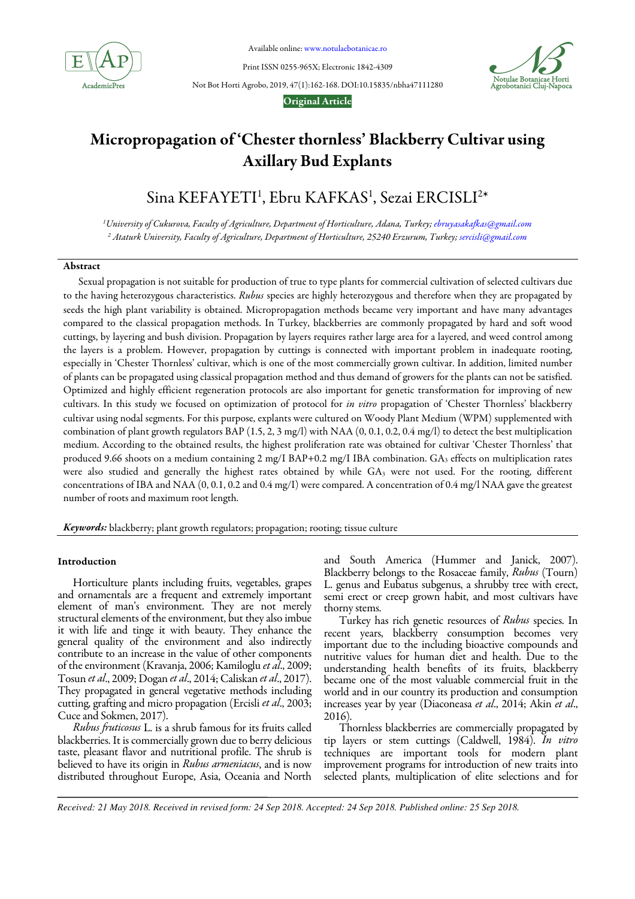

Available online: www.notulaebotanicae.ro

Print ISSN 0255-965X; Electronic 1842-4309



Not Bot Horti Agrobo, 2019, 47(1):162-168. DOI:10.15835/nbha47111280

## Original Article

# Micropropagation of 'Chester thornless' Blackberry Cultivar using Axillary Bud Explants

# Sina KEFAYETI<sup>1</sup>, Ebru KAFKAS<sup>1</sup>, Sezai ERCISLI<sup>2</sup>\*

*<sup>1</sup>University of Cukurova, Faculty of Agriculture, Department of Horticulture, Adana, Turkey; ebruyasakafkas@gmail.com 2 Ataturk University, Faculty of Agriculture, Department of Horticulture, 25240 Erzurum, Turkey; sercisli@gmail.com*

## Abstract

Sexual propagation is not suitable for production of true to type plants for commercial cultivation of selected cultivars due to the having heterozygous characteristics. *Rubus* species are highly heterozygous and therefore when they are propagated by seeds the high plant variability is obtained. Micropropagation methods became very important and have many advantages compared to the classical propagation methods. In Turkey, blackberries are commonly propagated by hard and soft wood cuttings, by layering and bush division. Propagation by layers requires rather large area for a layered, and weed control among the layers is a problem. However, propagation by cuttings is connected with important problem in inadequate rooting, especially in 'Chester Thornless' cultivar, which is one of the most commercially grown cultivar. In addition, limited number of plants can be propagated using classical propagation method and thus demand of growers for the plants can not be satisfied. Optimized and highly efficient regeneration protocols are also important for genetic transformation for improving of new cultivars. In this study we focused on optimization of protocol for *in vitro* propagation of 'Chester Thornless' blackberry cultivar using nodal segments. For this purpose, explants were cultured on Woody Plant Medium (WPM) supplemented with combination of plant growth regulators BAP (1.5, 2, 3 mg/l) with NAA (0, 0.1, 0.2, 0.4 mg/l) to detect the best multiplication medium. According to the obtained results, the highest proliferation rate was obtained for cultivar 'Chester Thornless' that produced 9.66 shoots on a medium containing 2 mg/I BAP+0.2 mg/I IBA combination. GA<sub>3</sub> effects on multiplication rates were also studied and generally the highest rates obtained by while GA<sub>3</sub> were not used. For the rooting, different concentrations of IBA and NAA (0, 0.1, 0.2 and 0.4 mg/I) were compared. A concentration of 0.4 mg/l NAA gave the greatest number of roots and maximum root length.

Keywords: blackberry; plant growth regulators; propagation; rooting; tissue culture

## Introduction

Horticulture plants including fruits, vegetables, grapes and ornamentals are a frequent and extremely important element of man's environment. They are not merely structural elements of the environment, but they also imbue it with life and tinge it with beauty. They enhance the general quality of the environment and also indirectly contribute to an increase in the value of other components of the environment (Kravanja, 2006; Kamiloglu *et al*., 2009; Tosun *et al*., 2009; Dogan *et al*., 2014; Caliskan *et al*., 2017). They propagated in general vegetative methods including cutting, grafting and micro propagation (Ercisli *et al*., 2003; Cuce and Sokmen, 2017).

*Rubus fruticosus* L. is a shrub famous for its fruits called blackberries. It is commercially grown due to berry delicious taste, pleasant flavor and nutritional profile. The shrub is believed to have its origin in *Rubus armeniacus*, and is now distributed throughout Europe, Asia, Oceania and North and South America (Hummer and Janick, 2007). Blackberry belongs to the Rosaceae family, *Rubus* (Tourn) L. genus and Eubatus subgenus, a shrubby tree with erect, semi erect or creep grown habit, and most cultivars have thorny stems.

Turkey has rich genetic resources of *Rubus* species. In recent years, blackberry consumption becomes very important due to the including bioactive compounds and nutritive values for human diet and health. Due to the understanding health benefits of its fruits, blackberry became one of the most valuable commercial fruit in the world and in our country its production and consumption increases year by year (Diaconeasa *et al*., 2014; Akin *et al*., 2016).

Thornless blackberries are commercially propagated by tip layers or stem cuttings (Caldwell, 1984). *In vitro*  techniques are important tools for modern plant improvement programs for introduction of new traits into selected plants, multiplication of elite selections and for

*Received: 21 May 2018. Received in revised form: 24 Sep 2018. Accepted: 24 Sep 2018. Published online: 25 Sep 2018.*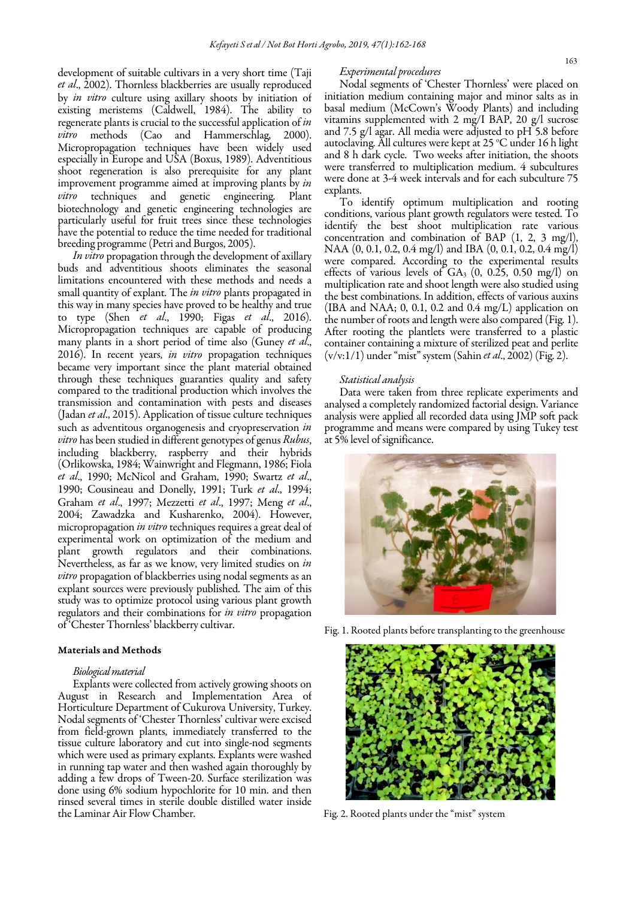development of suitable cultivars in a very short time (Taji *et al*., 2002). Thornless blackberries are usually reproduced by *in vitro* culture using axillary shoots by initiation of existing meristems (Caldwell, 1984). The ability to regenerate plants is crucial to the successful application of *in vitro* methods (Cao and Hammerschlag, 2000). Micropropagation techniques have been widely used especially in Europe and USA (Boxus, 1989). Adventitious shoot regeneration is also prerequisite for any plant improvement programme aimed at improving plants by *in vitro* techniques and genetic engineering. Plant biotechnology and genetic engineering technologies are particularly useful for fruit trees since these technologies have the potential to reduce the time needed for traditional breeding programme (Petri and Burgos, 2005).

*In vitro* propagation through the development of axillary buds and adventitious shoots eliminates the seasonal limitations encountered with these methods and needs a small quantity of explant. The *in vitro* plants propagated in this way in many species have proved to be healthy and true to type (Shen *et al*., 1990; Figas *et al*., 2016). Micropropagation techniques are capable of producing many plants in a short period of time also (Guney *et al*., 2016). In recent years, *in vitro* propagation techniques became very important since the plant material obtained through these techniques guaranties quality and safety compared to the traditional production which involves the transmission and contamination with pests and diseases (Jadan *et al*., 2015). Application of tissue culture techniques such as adventitous organogenesis and cryopreservation *in vitro* has been studied in different genotypes of genus *Rubus*, including blackberry, raspberry and their hybrids (Orlikowska, 1984; Wainwright and Flegmann, 1986; Fiola *et al*., 1990; McNicol and Graham, 1990; Swartz *et al*., 1990; Cousineau and Donelly, 1991; Turk *et al*., 1994; Graham *et al*., 1997; Mezzetti *et al*., 1997; Meng *et al*., 2004; Zawadzka and Kusharenko, 2004). However, micropropagation *in vitro* techniques requires a great deal of experimental work on optimization of the medium and plant growth regulators and their combinations. Nevertheless, as far as we know, very limited studies on *in vitro* propagation of blackberries using nodal segments as an explant sources were previously published. The aim of this study was to optimize protocol using various plant growth regulators and their combinations for *in vitro* propagation of 'Chester Thornless' blackberry cultivar.

#### Materials and Methods

## *Biological material*

Explants were collected from actively growing shoots on August in Research and Implementation Area of Horticulture Department of Cukurova University, Turkey. Nodal segments of 'Chester Thornless' cultivar were excised from field-grown plants, immediately transferred to the tissue culture laboratory and cut into single-nod segments which were used as primary explants. Explants were washed in running tap water and then washed again thoroughly by adding a few drops of Tween-20. Surface sterilization was done using 6% sodium hypochlorite for 10 min. and then rinsed several times in sterile double distilled water inside the Laminar Air Flow Chamber.

#### *Experimental procedures*

Nodal segments of 'Chester Thornless' were placed on initiation medium containing major and minor salts as in basal medium (McCown's Woody Plants) and including vitamins supplemented with 2 mg/I BAP, 20 g/l sucrose and 7.5 g/l agar. All media were adjusted to pH 5.8 before autoclaving. All cultures were kept at  $25^{\circ}$ C under 16 h light and 8 h dark cycle. Two weeks after initiation, the shoots were transferred to multiplication medium. 4 subcultures were done at 3-4 week intervals and for each subculture 75 explants.

To identify optimum multiplication and rooting conditions, various plant growth regulators were tested. To identify the best shoot multiplication rate various concentration and combination of BAP (1, 2, 3 mg/l), NAA (0, 0.1, 0.2, 0.4 mg/l) and IBA (0, 0.1, 0.2, 0.4 mg/l) were compared. According to the experimental results effects of various levels of  $GA_3$  (0, 0.25, 0.50 mg/l) on multiplication rate and shoot length were also studied using the best combinations. In addition, effects of various auxins (IBA and NAA; 0, 0.1, 0.2 and 0.4 mg/L) application on the number of roots and length were also compared (Fig. 1). After rooting the plantlets were transferred to a plastic container containing a mixture of sterilized peat and perlite (v/v:1/1) under "mist" system (Sahin *et al*., 2002) (Fig. 2).

#### *Statistical analysis*

Data were taken from three replicate experiments and analysed a completely randomized factorial design. Variance analysis were applied all recorded data using JMP soft pack programme and means were compared by using Tukey test at 5% level of significance.



Fig. 1. Rooted plants before transplanting to the greenhouse



Fig. 2. Rooted plants under the "mist" system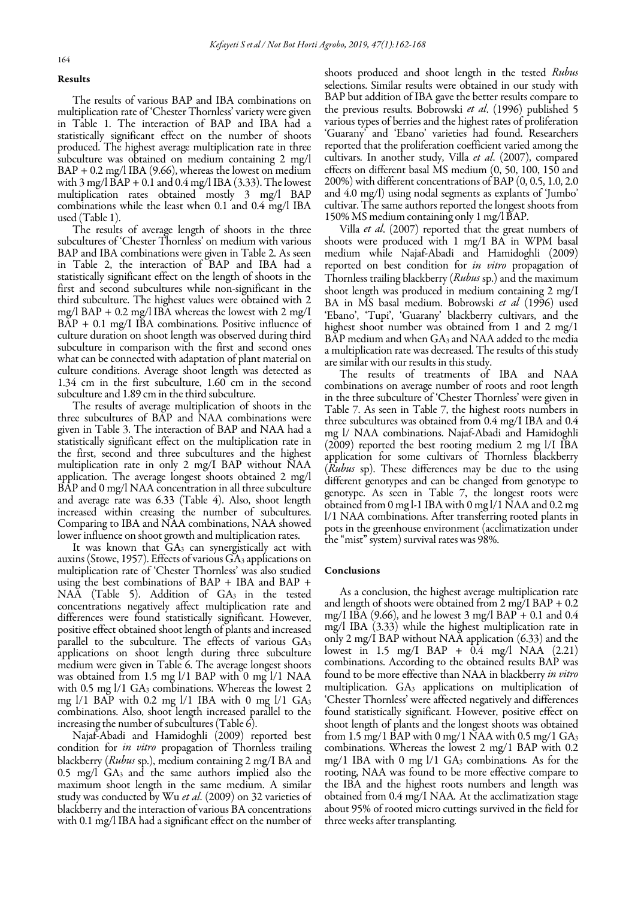#### Results

The results of various BAP and IBA combinations on multiplication rate of 'Chester Thornless' variety were given in Table 1. The interaction of BAP and IBA had a statistically significant effect on the number of shoots produced. The highest average multiplication rate in three subculture was obtained on medium containing 2 mg/l  $BAP + 0.2$  mg/l IBA (9.66), whereas the lowest on medium with  $3 \text{ mg/l}$   $\text{BAP} + 0.1$  and  $0.4 \text{ mg/l}$  IBA (3.33). The lowest multiplication rates obtained mostly 3 mg/l BAP combinations while the least when 0.1 and 0.4 mg/l IBA used (Table 1).

The results of average length of shoots in the three subcultures of 'Chester Thornless' on medium with various BAP and IBA combinations were given in Table 2. As seen in Table 2, the interaction of BAP and IBA had a statistically significant effect on the length of shoots in the first and second subcultures while non-significant in the third subculture. The highest values were obtained with 2 mg/l BAP + 0.2 mg/l IBA whereas the lowest with 2 mg/I BAP + 0.1 mg/I IBA combinations. Positive influence of culture duration on shoot length was observed during third subculture in comparison with the first and second ones what can be connected with adaptation of plant material on culture conditions. Average shoot length was detected as 1.34 cm in the first subculture, 1.60 cm in the second subculture and 1.89 cm in the third subculture.

The results of average multiplication of shoots in the three subcultures of BAP and NAA combinations were given in Table 3. The interaction of BAP and NAA had a statistically significant effect on the multiplication rate in the first, second and three subcultures and the highest multiplication rate in only 2 mg/I BAP without NAA application. The average longest shoots obtained 2 mg/l BAP and 0 mg/l NAA concentration in all three subculture and average rate was 6.33 (Table 4). Also, shoot length increased within creasing the number of subcultures. Comparing to IBA and NAA combinations, NAA showed lower influence on shoot growth and multiplication rates.

 was obtained from 1.5 mg l/1 BAP with 0 mg l/1 NAA It was known that  $GA_3$  can synergistically act with auxins (Stowe, 1957). Effects of various GA<sup>3</sup> applications on multiplication rate of 'Chester Thornless' was also studied using the best combinations of BAP + IBA and BAP + NAA (Table 5). Addition of GA<sub>3</sub> in the tested concentrations negatively affect multiplication rate and differences were found statistically significant. However, positive effect obtained shoot length of plants and increased parallel to the subculture. The effects of various GA3 applications on shoot length during three subculture medium were given in Table 6. The average longest shoots with 0.5 mg l/1 GA<sub>3</sub> combinations. Whereas the lowest 2 mg  $1/1$  BAP with 0.2 mg  $1/1$  IBA with 0 mg  $1/1$  GA<sub>3</sub> combinations. Also, shoot length increased parallel to the increasing the number of subcultures (Table 6).

Najaf-Abadi and Hamidoghli (2009) reported best condition for *in vitro* propagation of Thornless trailing blackberry (*Rubus* sp.), medium containing 2 mg/I BA and 0.5 mg/l GA3 and the same authors implied also the maximum shoot length in the same medium. A similar study was conducted by Wu *et al*. (2009) on 32 varieties of blackberry and the interaction of various BA concentrations with 0.1 mg/l IBA had a significant effect on the number of shoots produced and shoot length in the tested *Rubus* selections. Similar results were obtained in our study with BAP but addition of IBA gave the better results compare to the previous results. Bobrowski *et al*. (1996) published 5 various types of berries and the highest rates of proliferation 'Guarany' and 'Ebano' varieties had found. Researchers reported that the proliferation coefficient varied among the cultivars. In another study, Villa *et al*. (2007), compared effects on different basal MS medium (0, 50, 100, 150 and 200%) with different concentrations of BAP (0, 0.5, 1.0, 2.0 and 4.0 mg/l) using nodal segments as explants of 'Jumbo' cultivar. The same authors reported the longest shoots from 150% MS medium containing only 1 mg/l BAP.

Villa *et al*. (2007) reported that the great numbers of shoots were produced with 1 mg/I BA in WPM basal medium while Najaf-Abadi and Hamidoghli (2009) reported on best condition for *in vitro* propagation of Thornless trailing blackberry (*Rubus* sp.) and the maximum shoot length was produced in medium containing 2 mg/I BA in MS basal medium. Bobrowski *et al* (1996) used 'Ebano', 'Tupi', 'Guarany' blackberry cultivars, and the highest shoot number was obtained from 1 and 2 mg/1 BAP medium and when GA<sup>3</sup> and NAA added to the media a multiplication rate was decreased. The results of this study are similar with our results in this study.

The results of treatments of IBA and NAA combinations on average number of roots and root length in the three subculture of 'Chester Thornless' were given in Table 7. As seen in Table 7, the highest roots numbers in three subcultures was obtained from 0.4 mg/I IBA and 0.4 mg l/ NAA combinations. Najaf-Abadi and Hamidoghli (2009) reported the best rooting medium 2 mg l/I IBA application for some cultivars of Thornless blackberry (*Rubus* sp). These differences may be due to the using different genotypes and can be changed from genotype to genotype. As seen in Table 7, the longest roots were obtained from 0 mg l-1 IBA with 0 mg l/1 NAA and 0.2 mg l/1 NAA combinations. After transferring rooted plants in pots in the greenhouse environment (acclimatization under the "mist" system) survival rates was 98%.

#### Conclusions

As a conclusion, the highest average multiplication rate and length of shoots were obtained from  $2 \text{ mg/I}$  BAP + 0.2 mg/I IBA (9.66), and he lowest 3 mg/l BAP + 0.1 and 0.4 mg/l IBA (3.33) while the highest multiplication rate in only 2 mg/l BAP without NAA application (6.33) and the lowest in 1.5 mg/I BAP +  $\hat{0.4}$  mg/l NAA (2.21) combinations. According to the obtained results BAP was found to be more effective than NAA in blackberry *in vitro*  multiplication*.* GA<sup>3</sup> applications on multiplication of 'Chester Thornless' were affected negatively and differences found statistically significant*.* However, positive effect on shoot length of plants and the longest shoots was obtained from 1.5 mg/1 BAP with 0 mg/1 NAA with 0.5 mg/1  $GA_3$ combinations. Whereas the lowest 2 mg/1 BAP with 0.2 mg/1 IBA with 0 mg l/1 GA3 combinations*.* As for the rooting, NAA was found to be more effective compare to the IBA and the highest roots numbers and length was obtained from 0.4 mg/I NAA*.* At the acclimatization stage about 95% of rooted micro cuttings survived in the field for three weeks after transplanting.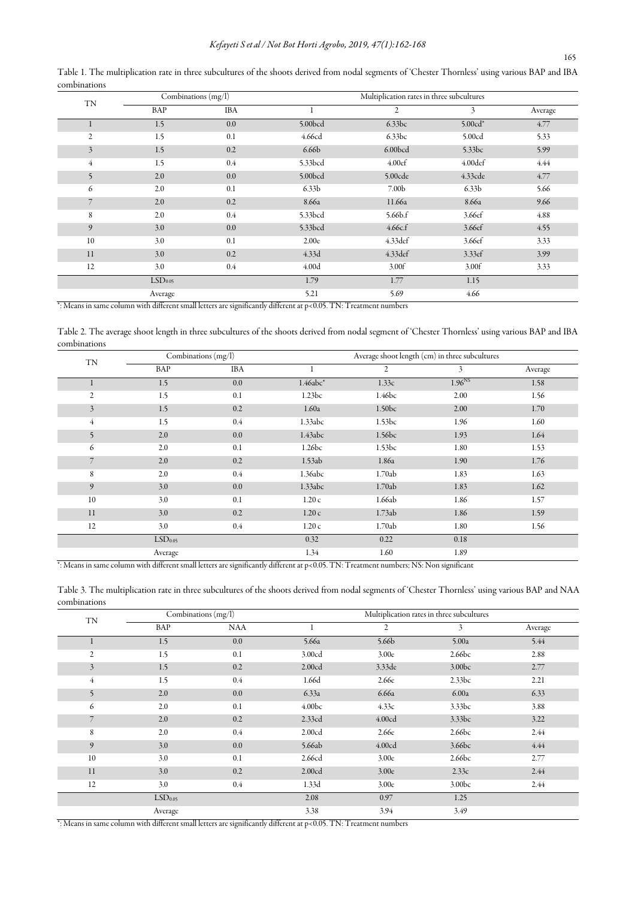Table 1. The multiplication rate in three subcultures of the shoots derived from nodal segments of 'Chester Thornless' using various BAP and IBA combinations

| <b>TN</b>      | Combinations (mg/l) |            | Multiplication rates in three subcultures |                     |                                                                                                                                         |         |
|----------------|---------------------|------------|-------------------------------------------|---------------------|-----------------------------------------------------------------------------------------------------------------------------------------|---------|
|                | BAP                 | <b>IBA</b> |                                           | $\overline{2}$      | 3<br>$5.00cd*$<br>5.00cd<br>5.33bc<br>4.00def<br>4.33cde<br>6.33 <sub>b</sub><br>8.66a<br>3.66ef<br>3.66ef<br>3.66ef<br>3.33ef<br>3.00f | Average |
|                | 1.5                 | 0.0        | 5.00bcd                                   | 6.33bc              |                                                                                                                                         | 4.77    |
| 2              | 1.5                 | 0.1        | 4.66cd                                    | 6.33bc              |                                                                                                                                         | 5.33    |
| $\overline{3}$ | 1.5                 | 0.2        | 6.66 <sub>b</sub>                         | 6.00 <sub>bcd</sub> |                                                                                                                                         | 5.99    |
| 4              | 1.5                 | $0.4\,$    | 5.33bcd                                   | 4.00ef              |                                                                                                                                         | 4.44    |
| 5              | 2.0                 | 0.0        | 5.00bcd                                   | 5.00cde             |                                                                                                                                         | 4.77    |
| 6              | 2.0                 | 0.1        | 6.33 <sub>b</sub>                         | 7.00 <sub>b</sub>   |                                                                                                                                         | 5.66    |
|                | 2.0                 | 0.2        | 8.66a                                     | 11.66a              |                                                                                                                                         | 9.66    |
| 8              | 2.0                 | 0.4        | 5.33bcd                                   | 5.66 <sub>b.f</sub> |                                                                                                                                         | 4.88    |
| 9              | 3.0                 | 0.0        | 5.33bcd                                   | 4.66c.f             |                                                                                                                                         | 4.55    |
| 10             | 3.0                 | 0.1        | 2.00e                                     | 4.33def             |                                                                                                                                         | 3.33    |
| 11             | 3.0                 | 0.2        | 4.33d                                     | 4.33def             |                                                                                                                                         | 3.99    |
| 12             | 3.0                 | $0.4\,$    | 4.00 <sub>d</sub>                         | 3.00f               |                                                                                                                                         | 3.33    |
|                | LSD <sub>0.05</sub> |            | 1.79                                      | 1.77                | 1.15                                                                                                                                    |         |
|                | Average             |            | 5.21                                      | 5.69                | 4.66                                                                                                                                    |         |

\*: Means in same column with different small letters are significantly different at p<0.05. TN: Treatment numbers

Table 2. The average shoot length in three subcultures of the shoots derived from nodal segment of 'Chester Thornless' using various BAP and IBA combinations

| TN             | Combinations (mg/l) |            | Average shoot length (cm) in three subcultures |                    |             |         |
|----------------|---------------------|------------|------------------------------------------------|--------------------|-------------|---------|
|                | BAP                 | <b>IBA</b> |                                                | $\overline{2}$     | 3           | Average |
|                | 1.5                 | 0.0        | $1.46abc*$                                     | 1.33c              | $1.96^{NS}$ | 1.58    |
| 2              | 1.5                 | 0.1        | 1.23bc                                         | 1.46bc             | 2.00        | 1.56    |
| $\overline{3}$ | 1.5                 | 0.2        | 1.60a                                          | 1.50 <sub>bc</sub> | 2.00        | 1.70    |
| 4              | 1.5                 | $0.4\,$    | 1.33abc                                        | 1.53bc             | 1.96        | 1.60    |
| 5              | 2.0                 | 0.0        | 1.43abc                                        | 1.56bc             | 1.93        | 1.64    |
| 6              | 2.0                 | 0.1        | 1.26bc                                         | 1.53bc             | 1.80        | 1.53    |
| $\overline{7}$ | 2.0                 | 0.2        | 1.53ab                                         | 1.86a              | 1.90        | 1.76    |
| 8              | 2.0                 | $0.4\,$    | 1.36abc                                        | 1.70ab             | 1.83        | 1.63    |
| 9              | 3.0                 | 0.0        | 1.33abc                                        | 1.70ab             | 1.83        | 1.62    |
| 10             | 3.0                 | 0.1        | 1.20c                                          | 1.66ab             | 1.86        | 1.57    |
| 11             | 3.0                 | 0.2        | 1.20c                                          | 1.73ab             | 1.86        | 1.59    |
| 12             | 3.0                 | $0.4\,$    | 1.20c                                          | 1.70ab             | 1.80        | 1.56    |
|                | LSD <sub>0.05</sub> |            | 0.32                                           | 0.22               | 0.18        |         |
|                | Average             |            | 1.34                                           | 1.60               | 1.89        |         |

\*: Means in same column with different small letters are significantly different at p<0.05. TN: Treatment numbers; NS: Non significant

Table 3. The multiplication rate in three subcultures of the shoots derived from nodal segments of 'Chester Thornless' using various BAP and NAA combinations

| TN             |                     | Combinations (mg/l) | Multiplication rates in three subcultures |                   |                                                                                                                                                        |         |
|----------------|---------------------|---------------------|-------------------------------------------|-------------------|--------------------------------------------------------------------------------------------------------------------------------------------------------|---------|
|                | BAP                 | <b>NAA</b>          |                                           | $\overline{2}$    | 3<br>5.00a<br>2.66bc<br>3.00 <sub>bc</sub><br>2.33bc<br>6.00a<br>3.33bc<br>3.33bc<br>2.66bc<br>3.66bc<br>2.66bc<br>2.33c<br>3.00 <sub>bc</sub><br>1.25 | Average |
|                | 1.5                 | $0.0\,$             | 5.66a                                     | 5.66 <sub>b</sub> |                                                                                                                                                        | 5.44    |
| $\overline{2}$ | 1.5                 | 0.1                 | 3.00cd                                    | 3.00e             |                                                                                                                                                        | 2.88    |
| $\overline{3}$ | 1.5                 | 0.2                 | 2.00cd                                    | 3.33de            |                                                                                                                                                        | 2.77    |
| 4              | 1.5                 | $0.4\,$             | 1.66d                                     | 2.66e             |                                                                                                                                                        | 2.21    |
| 5              | 2.0                 | 0.0                 | 6.33a                                     | 6.66a             |                                                                                                                                                        | 6.33    |
| 6              | 2.0                 | 0.1                 | 4.00 <sub>bc</sub>                        | 4.33c             |                                                                                                                                                        | 3.88    |
| 7              | 2.0                 | 0.2                 | 2.33cd                                    | 4.00cd            |                                                                                                                                                        | 3.22    |
| 8              | 2.0                 | $0.4\,$             | 2.00cd                                    | 2.66e             |                                                                                                                                                        | 2.44    |
| 9              | 3.0                 | 0.0                 | 5.66ab                                    | 4.00cd            |                                                                                                                                                        | 4.44    |
| 10             | 3.0                 | 0.1                 | 2.66cd                                    | 3.00e             |                                                                                                                                                        | 2.77    |
| 11             | 3.0                 | 0.2                 | 2.00cd                                    | 3.00e             |                                                                                                                                                        | 2.44    |
| 12             | 3.0                 | 0.4                 | 1.33d                                     | 3.00e             |                                                                                                                                                        | 2.44    |
|                | LSD <sub>0.05</sub> |                     | 2.08                                      | 0.97              |                                                                                                                                                        |         |
|                | Average             |                     | 3.38                                      | 3.94              | 3.49                                                                                                                                                   |         |

\*: Means in same column with different small letters are significantly different at p<0.05. TN: Treatment numbers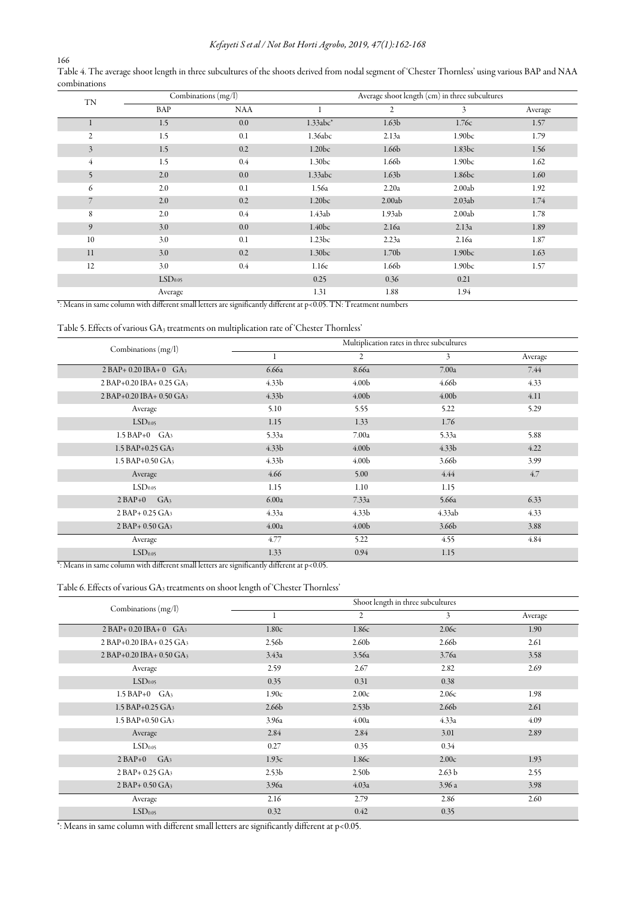# *Kefayeti S et al / Not Bot Horti Agrobo, 2019, 47(1):162-168*

166 Table 4. The average shoot length in three subcultures of the shoots derived from nodal segment of 'Chester Thornless' using various BAP and NAA combinations

| <b>TN</b>      | Combinations $(mg/l)$ |            | Average shoot length (cm) in three subcultures |                   |                    |         |
|----------------|-----------------------|------------|------------------------------------------------|-------------------|--------------------|---------|
|                | BAP                   | <b>NAA</b> |                                                | $\overline{c}$    | 3                  | Average |
|                | 1.5                   | 0.0        | $1.33abc*$                                     | 1.63 <sub>b</sub> | 1.76c              | 1.57    |
| 2              | 1.5                   | 0.1        | 1.36abc                                        | 2.13a             | 1.90 <sub>bc</sub> | 1.79    |
| $\overline{3}$ | 1.5                   | 0.2        | 1.20 <sub>bc</sub>                             | 1.66b             | 1.83bc             | 1.56    |
| $\overline{4}$ | 1.5                   | $0.4\,$    | 1.30 <sub>bc</sub>                             | 1.66 <sub>b</sub> | 1.90 <sub>bc</sub> | 1.62    |
| 5              | 2.0                   | 0.0        | 1.33abc                                        | 1.63 <sub>b</sub> | 1.86bc             | 1.60    |
| 6              | 2.0                   | 0.1        | 1.56a                                          | 2.20a             | 2.00ab             | 1.92    |
| 7              | 2.0                   | 0.2        | 1.20bc                                         | 2.00ab            | 2.03ab             | 1.74    |
| 8              | 2.0                   | $0.4\,$    | 1.43ab                                         | 1.93ab            | 2.00ab             | 1.78    |
| 9              | 3.0                   | 0.0        | 1.40 <sub>bc</sub>                             | 2.16a             | 2.13a              | 1.89    |
| 10             | 3.0                   | 0.1        | 1.23bc                                         | 2.23a             | 2.16a              | 1.87    |
| 11             | 3.0                   | 0.2        | 1.30 <sub>bc</sub>                             | 1.70 <sub>b</sub> | 1.90 <sub>bc</sub> | 1.63    |
| 12             | 3.0                   | 0.4        | 1.16e                                          | 1.66b             | 1.90 <sub>bc</sub> | 1.57    |
|                | LSD <sub>0.05</sub>   |            | 0.25                                           | 0.36              | 0.21               |         |
|                | Average               |            | 1.31                                           | 1.88              | 1.94               |         |

\*: Means in same column with different small letters are significantly different at p<0.05. TN: Treatment numbers

## Table 5. Effects of various GA<sub>3</sub> treatments on multiplication rate of 'Chester Thornless'

| Combinations (mg/l)          |                   | Multiplication rates in three subcultures |                   |         |  |  |  |
|------------------------------|-------------------|-------------------------------------------|-------------------|---------|--|--|--|
|                              |                   | $\overline{c}$                            | 3                 | Average |  |  |  |
| $2 BAP + 0.20 IBA + 0 GA3$   | 6.66a             | 8.66a                                     | 7.00a             | 7.44    |  |  |  |
| 2 BAP+0.20 IBA+ 0.25 GA3     | 4.33 <sub>b</sub> | 4.00 <sub>b</sub>                         | 4.66 <sub>b</sub> | 4.33    |  |  |  |
| 2 BAP+0.20 IBA+ 0.50 GA3     | 4.33 <sub>b</sub> | 4.00 <sub>b</sub>                         | 4.00 <sub>b</sub> | 4.11    |  |  |  |
| Average                      | 5.10              | 5.55                                      | 5.22              | 5.29    |  |  |  |
| LSD <sub>0.05</sub>          | 1.15              | 1.33                                      | 1.76              |         |  |  |  |
| $1.5$ BAP+0 $GA_3$           | 5.33a             | 7.00a                                     | 5.33a             | 5.88    |  |  |  |
| 1.5 BAP+0.25 GA <sub>3</sub> | 4.33 <sub>b</sub> | 4.00 <sub>b</sub>                         | 4.33 <sub>b</sub> | 4.22    |  |  |  |
| 1.5 BAP+0.50 GA3             | 4.33 <sub>b</sub> | 4.00 <sub>b</sub>                         | 3.66 <sub>b</sub> | 3.99    |  |  |  |
| Average                      | 4.66              | 5.00                                      | 4.44              | 4.7     |  |  |  |
| LSD <sub>0.05</sub>          | 1.15              | 1.10                                      | 1.15              |         |  |  |  |
| $2 BAP+0$<br>GA <sub>3</sub> | 6.00a             | 7.33a                                     | 5.66a             | 6.33    |  |  |  |
| $2 BAP + 0.25 GA3$           | 4.33a             | 4.33 <sub>b</sub>                         | 4.33ab            | 4.33    |  |  |  |
| $2 BAP + 0.50 GA3$           | 4.00a             | 4.00 <sub>b</sub>                         | 3.66 <sub>b</sub> | 3.88    |  |  |  |
| Average                      | 4.77              | 5.22                                      | 4.55              | 4.84    |  |  |  |
| LSD <sub>0.05</sub>          | 1.33              | 0.94                                      | 1.15              |         |  |  |  |

\*: Means in same column with different small letters are significantly different at p<0.05.

# Table 6. Effects of various  $\mathrm{GA}_3$  treatments on shoot length of 'Chester Thornless'

| Combinations (mg/l)            |                   |                   | Shoot length in three subcultures |         |
|--------------------------------|-------------------|-------------------|-----------------------------------|---------|
|                                |                   | 2                 | 3                                 | Average |
| $2 BAP + 0.20 IBA + 0 GA3$     | 1.80c             | 1.86c             | 2.06c                             | 1.90    |
| 2 BAP+0.20 IBA+ 0.25 GA3       | 2.56 <sub>b</sub> | 2.60 <sub>b</sub> | 2.66 <sub>b</sub>                 | 2.61    |
| 2 BAP+0.20 IBA+ 0.50 GA3       | 3.43a             | 3.56a             | 3.76a                             | 3.58    |
| Average                        | 2.59              | 2.67              | 2.82                              | 2.69    |
| LSD <sub>0.05</sub>            | 0.35              | 0.31              | 0.38                              |         |
| $1.5$ BAP+0 $GA_3$             | 1.90c             | 2.00c             | 2.06c                             | 1.98    |
| $1.5$ BAP+0.25 GA <sub>3</sub> | 2.66 <sub>b</sub> | 2.53 <sub>b</sub> | 2.66 <sub>b</sub>                 | 2.61    |
| $1.5$ BAP+0.50 GA <sub>3</sub> | 3.96a             | 4.00a             | 4.33a                             | 4.09    |
| Average                        | 2.84              | 2.84              | 3.01                              | 2.89    |
| LSD <sub>0.05</sub>            | 0.27              | 0.35              | 0.34                              |         |
| $2 BAP+0$<br>GA <sub>3</sub>   | 1.93c             | 1.86c             | 2.00c                             | 1.93    |
| 2 BAP+ 0.25 GA3                | 2.53 <sub>b</sub> | 2.50 <sub>b</sub> | 2.63 <sub>b</sub>                 | 2.55    |
| $2 BAP + 0.50 GA3$             | 3.96a             | 4.03a             | 3.96a                             | 3.98    |
| Average                        | 2.16              | 2.79              | 2.86                              | 2.60    |
| LSD <sub>0.05</sub>            | 0.32              | 0.42              | 0.35                              |         |

\*: Means in same column with different small letters are significantly different at p<0.05.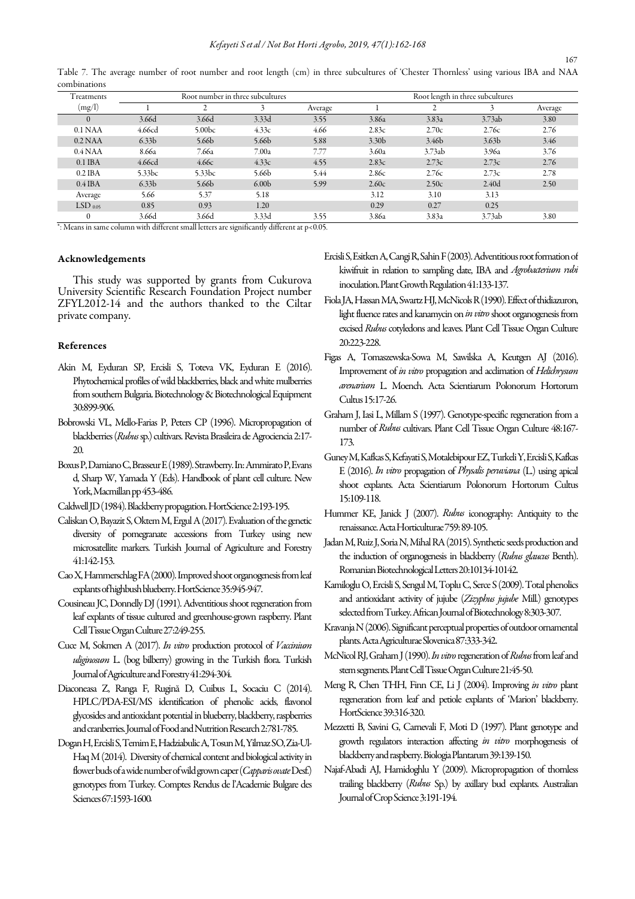Table 7. The average number of root number and root length (cm) in three subcultures of 'Chester Thornless' using various IBA and NAA combinations

| Treatments       | Root number in three subcultures |                    |                   |         | Root length in three subcultures |                   |                   |         |
|------------------|----------------------------------|--------------------|-------------------|---------|----------------------------------|-------------------|-------------------|---------|
| (mg/l)           |                                  |                    |                   | Average |                                  |                   |                   | Average |
| $\Omega$         | 3.66d                            | 3.66d              | 3.33d             | 3.55    | 3.86a                            | 3.83a             | 3.73ab            | 3.80    |
| $0.1$ NAA        | 4.66cd                           | 5.00 <sub>bc</sub> | 4.33c             | 4.66    | 2.83c                            | 2.70c             | 2.76c             | 2.76    |
| $0.2$ NAA        | 6.33 <sub>b</sub>                | 5.66 <sub>b</sub>  | 5.66 <sub>b</sub> | 5.88    | 3.30 <sub>b</sub>                | 3.46 <sub>b</sub> | 3.63 <sub>b</sub> | 3.46    |
| $0.4\text{ NAA}$ | 8.66a                            | 7.66а              | 7.00a             | 7.77    | 3.60a                            | 3.73ab            | 3.96a             | 3.76    |
| $0.1$ IBA        | 4.66cd                           | 4.66c              | 4.33c             | 4.55    | 2.83c                            | 2.73c             | 2.73c             | 2.76    |
| $0.2$ IBA        | 5.33bc                           | 5.33bc             | 5.66b             | 5.44    | 2.86c                            | 2.76c             | 2.73c             | 2.78    |
| $0.4$ IBA        | 6.33 <sub>b</sub>                | 5.66 <sub>b</sub>  | 6.00 <sub>b</sub> | 5.99    | 2.60c                            | 2.50c             | 2.40 <sub>d</sub> | 2.50    |
| Average          | 5.66                             | 5.37               | 5.18              |         | 3.12                             | 3.10              | 3.13              |         |
| $LSD$ 0.05       | 0.85                             | 0.93               | 1.20              |         | 0.29                             | 0.27              | 0.25              |         |
|                  | 3.66d                            | 3.66d              | 3.33d             | 3.55    | 3.86a                            | 3.83a             | 3.73ab            | 3.80    |

\*: Means in same column with different small letters are significantly different at p<0.05.

#### Acknowledgements

This study was supported by grants from Cukurova University Scientific Research Foundation Project number ZFYL2012-14 and the authors thanked to the Ciltar private company.

#### References

- Akin M, Eyduran SP, Ercisli S, Toteva VK, Eyduran E (2016). Phytochemical profiles of wild blackberries, black and white mulberries from southern Bulgaria. Biotechnology & Biotechnological Equipment 30:899-906.
- Bobrowski VL, Mello-Farias P, Peters CP (1996). Micropropagation of blackberries (*Rubus* sp.) cultivars. Revista Brasileira de Agrociencia 2:17- 20.
- Boxus P, Damiano C, Brasseur E (1989). Strawberry. In: Ammirato P, Evans d, Sharp W, Yamada Y (Eds). Handbook of plant cell culture. New York, Macmillan pp 453-486.
- Caldwell JD (1984). Blackberry propagation. HortScience 2:193-195.
- Caliskan O, Bayazit S, Oktem M, Ergul A (2017). Evaluation of the genetic diversity of pomegranate accessions from Turkey using new microsatellite markers. Turkish Journal of Agriculture and Forestry 41:142-153.
- Cao X, Hammerschlag FA (2000). Improved shoot organogenesis from leaf explants of highbush blueberry. HortScience 35:945-947.
- Cousineau JC, Donnelly DJ (1991). Adventitious shoot regeneration from leaf explants of tissue cultured and greenhouse-grown raspberry. Plant Cell Tissue Organ Culture 27:249-255.
- Cuce M, Sokmen A (2017). *In vitro* production protocol of *Vaccinium uliginosum* L. (bog bilberry) growing in the Turkish flora. Turkish Journal of Agriculture and Forestry 41:294-304.
- Diaconeasa Z, Ranga F, Rugină D, Cuibus L, Socaciu C (2014). HPLC/PDA-ESI/MS identification of phenolic acids, flavonol glycosides and antioxidant potential in blueberry, blackberry, raspberries and cranberries. Journal of Food and Nutrition Research 2:781-785.
- Dogan H, Ercisli S, Temim E, Hadziabulic A, Tosun M, Yilmaz SO, Zia-Ul-Haq M (2014). Diversity of chemical content and biological activity in flower buds of a wide number of wild grown caper (*Capparis ovate*Desf.) genotypes from Turkey. Comptes Rendus de l'Academie Bulgare des Sciences 67:1593-1600*.*
- Ercisli S, Esitken A, Cangi R, Sahin F (2003). Adventitious root formation of kiwifruit in relation to sampling date, IBA and *Agrobacterium rubi* inoculation. Plant Growth Regulation 41:133-137*.*
- Fiola JA, Hassan MA, Swartz HJ, McNicols R (1990). Effect of thidiazuron, light fluence rates and kanamycin on *in vitro* shoot organogenesis from excised *Rubus* cotyledons and leaves. Plant Cell Tissue Organ Culture 20:223-228.
- Figas A, Tomaszewska-Sowa M, Sawilska A, Keutgen AJ (2016). Improvement of *in vitro* propagation and acclimation of *Helichrysum arenarium* L. Moench. Acta Scientiarum Polonorum Hortorum Cultus 15:17-26.
- Graham J, Iasi L, Millam S (1997). Genotype-specific regeneration from a number of *Rubus* cultivars. Plant Cell Tissue Organ Culture 48:167- 173.
- Guney M, Kafkas S, Kefayati S, Motalebipour EZ, Turkeli Y, Ercisli S, Kafkas E (2016). *In vitro* propagation of *Physalis peruviana* (L.) using apical shoot explants. Acta Scientiarum Polonorum Hortorum Cultus 15:109-118.
- Hummer KE, Janick J (2007). *Rubus* iconography: Antiquity to the renaissance. Acta Horticulturae 759: 89-105.
- Jadan M, Ruiz J, Soria N, Mihal RA (2015). Synthetic seeds production and the induction of organogenesis in blackberry (*Rubus glaucus* Benth). Romanian Biotechnological Letters 20:10134-10142.
- Kamiloglu O, Ercisli S, Sengul M, Toplu C, Serce S (2009). Total phenolics and antioxidant activity of jujube (*Zizyphus jujube* Mill.) genotypes selected from Turkey. African Journal of Biotechnology 8:303-307.
- Kravanja N (2006). Significant perceptual properties of outdoor ornamental plants. Acta Agriculturae Slovenica 87:333-342.
- McNicol RJ, Graham J (1990). *In vitro* regeneration of *Rubus*from leaf and stem segments. Plant Cell Tissue Organ Culture 21:45-50.
- Meng R, Chen THH, Finn CE, Li J (2004). Improving *in vitro* plant regeneration from leaf and petiole explants of 'Marion' blackberry. HortScience 39:316-320.
- Mezzetti B, Savini G, Carnevali F, Moti D (1997). Plant genotype and growth regulators interaction affecting *in vitro* morphogenesis of blackberry and raspberry. Biologia Plantarum 39:139-150.
- Najaf-Abadi AJ, Hamidoghlu Y (2009). Micropropagation of thornless trailing blackberry (*Rubus* Sp.) by axillary bud explants. Australian Journal of Crop Science 3:191-194.